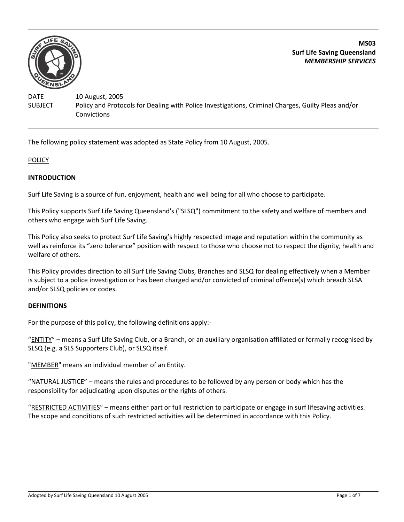

**MS03 Surf Life Saving Queensland** *MEMBERSHIP SERVICES*

DATE 10 August, 2005 SUBJECT Policy and Protocols for Dealing with Police Investigations, Criminal Charges, Guilty Pleas and/or Convictions

The following policy statement was adopted as State Policy from 10 August, 2005.

**POLICY** 

### **INTRODUCTION**

Surf Life Saving is a source of fun, enjoyment, health and well being for all who choose to participate.

This Policy supports Surf Life Saving Queensland's ("SLSQ") commitment to the safety and welfare of members and others who engage with Surf Life Saving.

This Policy also seeks to protect Surf Life Saving's highly respected image and reputation within the community as well as reinforce its "zero tolerance" position with respect to those who choose not to respect the dignity, health and welfare of others.

This Policy provides direction to all Surf Life Saving Clubs, Branches and SLSQ for dealing effectively when a Member is subject to a police investigation or has been charged and/or convicted of criminal offence(s) which breach SLSA and/or SLSQ policies or codes.

#### **DEFINITIONS**

For the purpose of this policy, the following definitions apply:-

"ENTITY" – means a Surf Life Saving Club, or a Branch, or an auxiliary organisation affiliated or formally recognised by SLSQ (e.g. a SLS Supporters Club), or SLSQ itself.

"MEMBER" means an individual member of an Entity.

"NATURAL JUSTICE" – means the rules and procedures to be followed by any person or body which has the responsibility for adjudicating upon disputes or the rights of others.

"RESTRICTED ACTIVITIES" – means either part or full restriction to participate or engage in surf lifesaving activities. The scope and conditions of such restricted activities will be determined in accordance with this Policy.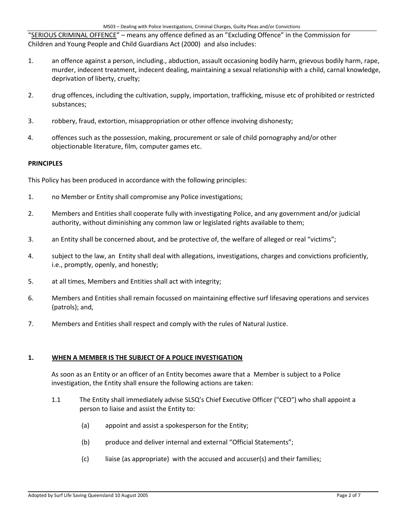"SERIOUS CRIMINAL OFFENCE" – means any offence defined as an "Excluding Offence" in the Commission for Children and Young People and Child Guardians Act (2000) and also includes:

- 1. an offence against a person, including., abduction, assault occasioning bodily harm, grievous bodily harm, rape, murder, indecent treatment, indecent dealing, maintaining a sexual relationship with a child, carnal knowledge, deprivation of liberty, cruelty;
- 2. drug offences, including the cultivation, supply, importation, trafficking, misuse etc of prohibited or restricted substances;
- 3. robbery, fraud, extortion, misappropriation or other offence involving dishonesty;
- 4. offences such as the possession, making, procurement or sale of child pornography and/or other objectionable literature, film, computer games etc.

## **PRINCIPLES**

This Policy has been produced in accordance with the following principles:

- 1. no Member or Entity shall compromise any Police investigations;
- 2. Members and Entities shall cooperate fully with investigating Police, and any government and/or judicial authority, without diminishing any common law or legislated rights available to them;
- 3. an Entity shall be concerned about, and be protective of, the welfare of alleged or real "victims";
- 4. subject to the law, an Entity shall deal with allegations, investigations, charges and convictions proficiently, i.e., promptly, openly, and honestly;
- 5. at all times, Members and Entities shall act with integrity;
- 6. Members and Entities shall remain focussed on maintaining effective surf lifesaving operations and services (patrols); and,
- 7. Members and Entities shall respect and comply with the rules of Natural Justice.

### **1. WHEN A MEMBER IS THE SUBJECT OF A POLICE INVESTIGATION**

As soon as an Entity or an officer of an Entity becomes aware that a Member is subject to a Police investigation, the Entity shall ensure the following actions are taken:

- 1.1 The Entity shall immediately advise SLSQ's Chief Executive Officer ("CEO") who shall appoint a person to liaise and assist the Entity to:
	- (a) appoint and assist a spokesperson for the Entity;
	- (b) produce and deliver internal and external "Official Statements";
	- (c) liaise (as appropriate) with the accused and accuser(s) and their families;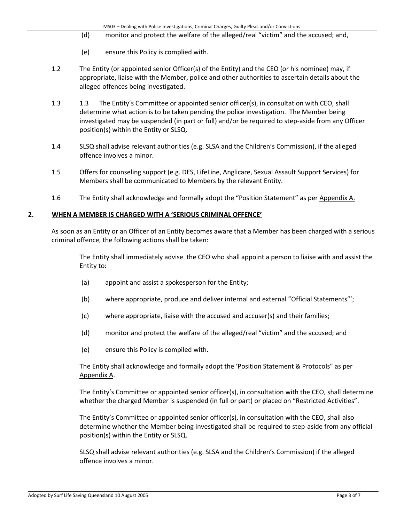- (d) monitor and protect the welfare of the alleged/real "victim" and the accused; and,
- (e) ensure this Policy is complied with.
- 1.2 The Entity (or appointed senior Officer(s) of the Entity) and the CEO (or his nominee) may, if appropriate, liaise with the Member, police and other authorities to ascertain details about the alleged offences being investigated.
- 1.3 1.3 The Entity's Committee or appointed senior officer(s), in consultation with CEO, shall determine what action is to be taken pending the police investigation. The Member being investigated may be suspended (in part or full) and/or be required to step-aside from any Officer position(s) within the Entity or SLSQ.
- 1.4 SLSQ shall advise relevant authorities (e.g. SLSA and the Children's Commission), if the alleged offence involves a minor.
- 1.5 Offers for counseling support (e.g. DES, LifeLine, Anglicare, Sexual Assault Support Services) for Members shall be communicated to Members by the relevant Entity.
- 1.6 The Entity shall acknowledge and formally adopt the "Position Statement" as per Appendix A.

### **2. WHEN A MEMBER IS CHARGED WITH A 'SERIOUS CRIMINAL OFFENCE'**

As soon as an Entity or an Officer of an Entity becomes aware that a Member has been charged with a serious criminal offence, the following actions shall be taken:

The Entity shall immediately advise the CEO who shall appoint a person to liaise with and assist the Entity to:

- (a) appoint and assist a spokesperson for the Entity;
- (b) where appropriate, produce and deliver internal and external "Official Statements"';
- (c) where appropriate, liaise with the accused and accuser(s) and their families;
- (d) monitor and protect the welfare of the alleged/real "victim" and the accused; and
- (e) ensure this Policy is compiled with.

The Entity shall acknowledge and formally adopt the 'Position Statement & Protocols" as per Appendix A.

The Entity's Committee or appointed senior officer(s), in consultation with the CEO, shall determine whether the charged Member is suspended (in full or part) or placed on "Restricted Activities".

The Entity's Committee or appointed senior officer(s), in consultation with the CEO, shall also determine whether the Member being investigated shall be required to step-aside from any official position(s) within the Entity or SLSQ.

SLSQ shall advise relevant authorities (e.g. SLSA and the Children's Commission) if the alleged offence involves a minor.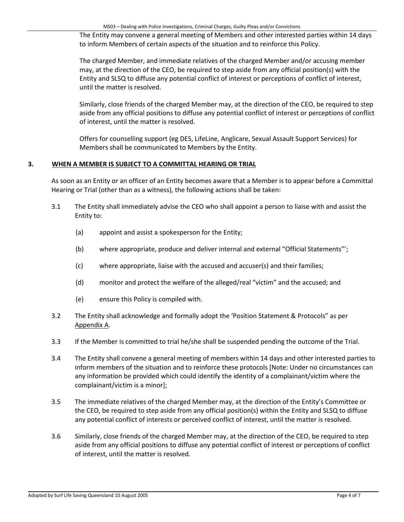The Entity may convene a general meeting of Members and other interested parties within 14 days to inform Members of certain aspects of the situation and to reinforce this Policy.

The charged Member, and immediate relatives of the charged Member and/or accusing member may, at the direction of the CEO, be required to step aside from any official position(s) with the Entity and SLSQ to diffuse any potential conflict of interest or perceptions of conflict of interest, until the matter is resolved.

Similarly, close friends of the charged Member may, at the direction of the CEO, be required to step aside from any official positions to diffuse any potential conflict of interest or perceptions of conflict of interest, until the matter is resolved.

Offers for counselling support (eg DES, LifeLine, Anglicare, Sexual Assault Support Services) for Members shall be communicated to Members by the Entity.

## **3. WHEN A MEMBER IS SUBJECT TO A COMMITTAL HEARING OR TRIAL**

As soon as an Entity or an officer of an Entity becomes aware that a Member is to appear before a Committal Hearing or Trial (other than as a witness), the following actions shall be taken:

- 3.1 The Entity shall immediately advise the CEO who shall appoint a person to liaise with and assist the Entity to:
	- (a) appoint and assist a spokesperson for the Entity;
	- (b) where appropriate, produce and deliver internal and external "Official Statements"';
	- (c) where appropriate, liaise with the accused and accuser(s) and their families;
	- (d) monitor and protect the welfare of the alleged/real "victim" and the accused; and
	- (e) ensure this Policy is compiled with.
- 3.2 The Entity shall acknowledge and formally adopt the 'Position Statement & Protocols" as per Appendix A.
- 3.3 If the Member is committed to trial he/she shall be suspended pending the outcome of the Trial.
- 3.4 The Entity shall convene a general meeting of members within 14 days and other interested parties to inform members of the situation and to reinforce these protocols [Note: Under no circumstances can any information be provided which could identify the identity of a complainant/victim where the complainant/victim is a minor];
- 3.5 The immediate relatives of the charged Member may, at the direction of the Entity's Committee or the CEO, be required to step aside from any official position(s) within the Entity and SLSQ to diffuse any potential conflict of interests or perceived conflict of interest, until the matter is resolved.
- 3.6 Similarly, close friends of the charged Member may, at the direction of the CEO, be required to step aside from any official positions to diffuse any potential conflict of interest or perceptions of conflict of interest, until the matter is resolved.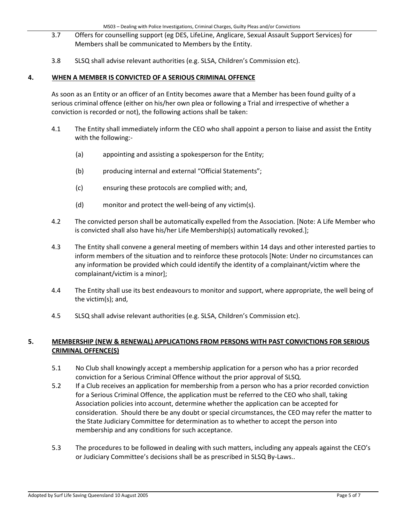- 3.7 Offers for counselling support (eg DES, LifeLine, Anglicare, Sexual Assault Support Services) for Members shall be communicated to Members by the Entity.
- 3.8 SLSQ shall advise relevant authorities (e.g. SLSA, Children's Commission etc).

## **4. WHEN A MEMBER IS CONVICTED OF A SERIOUS CRIMINAL OFFENCE**

As soon as an Entity or an officer of an Entity becomes aware that a Member has been found guilty of a serious criminal offence (either on his/her own plea or following a Trial and irrespective of whether a conviction is recorded or not), the following actions shall be taken:

- 4.1 The Entity shall immediately inform the CEO who shall appoint a person to liaise and assist the Entity with the following:-
	- (a) appointing and assisting a spokesperson for the Entity;
	- (b) producing internal and external "Official Statements";
	- (c) ensuring these protocols are complied with; and,
	- (d) monitor and protect the well-being of any victim(s).
- 4.2 The convicted person shall be automatically expelled from the Association. [Note: A Life Member who is convicted shall also have his/her Life Membership(s) automatically revoked.];
- 4.3 The Entity shall convene a general meeting of members within 14 days and other interested parties to inform members of the situation and to reinforce these protocols [Note: Under no circumstances can any information be provided which could identify the identity of a complainant/victim where the complainant/victim is a minor];
- 4.4 The Entity shall use its best endeavours to monitor and support, where appropriate, the well being of the victim(s); and,
- 4.5 SLSQ shall advise relevant authorities (e.g. SLSA, Children's Commission etc).

# **5. MEMBERSHIP (NEW & RENEWAL) APPLICATIONS FROM PERSONS WITH PAST CONVICTIONS FOR SERIOUS CRIMINAL OFFENCE(S)**

- 5.1 No Club shall knowingly accept a membership application for a person who has a prior recorded conviction for a Serious Criminal Offence without the prior approval of SLSQ.
- 5.2 If a Club receives an application for membership from a person who has a prior recorded conviction for a Serious Criminal Offence, the application must be referred to the CEO who shall, taking Association policies into account, determine whether the application can be accepted for consideration. Should there be any doubt or special circumstances, the CEO may refer the matter to the State Judiciary Committee for determination as to whether to accept the person into membership and any conditions for such acceptance.
- 5.3 The procedures to be followed in dealing with such matters, including any appeals against the CEO's or Judiciary Committee's decisions shall be as prescribed in SLSQ By-Laws..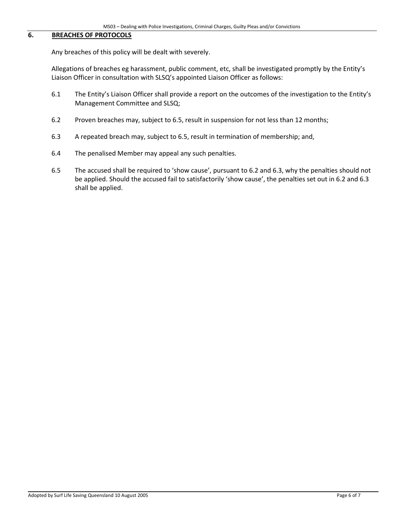#### **6. BREACHES OF PROTOCOLS**

Any breaches of this policy will be dealt with severely.

Allegations of breaches eg harassment, public comment, etc, shall be investigated promptly by the Entity's Liaison Officer in consultation with SLSQ's appointed Liaison Officer as follows:

- 6.1 The Entity's Liaison Officer shall provide a report on the outcomes of the investigation to the Entity's Management Committee and SLSQ;
- 6.2 Proven breaches may, subject to 6.5, result in suspension for not less than 12 months;
- 6.3 A repeated breach may, subject to 6.5, result in termination of membership; and,
- 6.4 The penalised Member may appeal any such penalties.
- 6.5 The accused shall be required to 'show cause', pursuant to 6.2 and 6.3, why the penalties should not be applied. Should the accused fail to satisfactorily 'show cause', the penalties set out in 6.2 and 6.3 shall be applied.